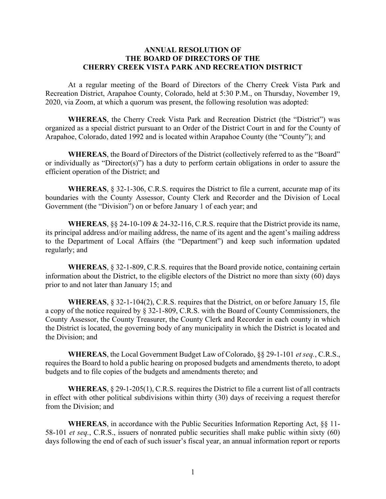## ANNUAL RESOLUTION OF THE BOARD OF DIRECTORS OF THE CHERRY CREEK VISTA PARK AND RECREATION DISTRICT

At a regular meeting of the Board of Directors of the Cherry Creek Vista Park and Recreation District, Arapahoe County, Colorado, held at 5:30 P.M., on Thursday, November 19, 2020, via Zoom, at which a quorum was present, the following resolution was adopted:

WHEREAS, the Cherry Creek Vista Park and Recreation District (the "District") was organized as a special district pursuant to an Order of the District Court in and for the County of Arapahoe, Colorado, dated 1992 and is located within Arapahoe County (the "County"); and

WHEREAS, the Board of Directors of the District (collectively referred to as the "Board" or individually as "Director(s)") has a duty to perform certain obligations in order to assure the efficient operation of the District; and

WHEREAS, § 32-1-306, C.R.S. requires the District to file a current, accurate map of its boundaries with the County Assessor, County Clerk and Recorder and the Division of Local Government (the "Division") on or before January 1 of each year; and

WHEREAS,  $\S$  24-10-109 & 24-32-116, C.R.S. require that the District provide its name, its principal address and/or mailing address, the name of its agent and the agent's mailing address to the Department of Local Affairs (the "Department") and keep such information updated regularly; and

WHEREAS, § 32-1-809, C.R.S. requires that the Board provide notice, containing certain information about the District, to the eligible electors of the District no more than sixty (60) days prior to and not later than January 15; and

WHEREAS, § 32-1-104(2), C.R.S. requires that the District, on or before January 15, file a copy of the notice required by § 32-1-809, C.R.S. with the Board of County Commissioners, the County Assessor, the County Treasurer, the County Clerk and Recorder in each county in which the District is located, the governing body of any municipality in which the District is located and the Division; and

**WHEREAS**, the Local Government Budget Law of Colorado,  $\S$  29-1-101 *et seq.*, C.R.S., requires the Board to hold a public hearing on proposed budgets and amendments thereto, to adopt budgets and to file copies of the budgets and amendments thereto; and

WHEREAS,  $\S 29$ -1-205(1), C.R.S. requires the District to file a current list of all contracts in effect with other political subdivisions within thirty (30) days of receiving a request therefor from the Division; and

WHEREAS, in accordance with the Public Securities Information Reporting Act,  $\S$ [11-58-101 et seq., C.R.S., issuers of nonrated public securities shall make public within sixty (60) days following the end of each of such issuer's fiscal year, an annual information report or reports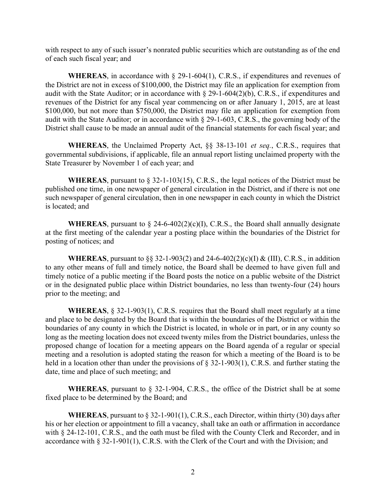with respect to any of such issuer's nonrated public securities which are outstanding as of the end of each such fiscal year; and

**WHEREAS**, in accordance with  $\S$  29-1-604(1), C.R.S., if expenditures and revenues of the District are not in excess of \$100,000, the District may file an application for exemption from audit with the State Auditor; or in accordance with § 29-1-604(2)(b), C.R.S., if expenditures and revenues of the District for any fiscal year commencing on or after January 1, 2015, are at least \$100,000, but not more than \$750,000, the District may file an application for exemption from audit with the State Auditor; or in accordance with § 29-1-603, C.R.S., the governing body of the District shall cause to be made an annual audit of the financial statements for each fiscal year; and

WHEREAS, the Unclaimed Property Act, §§ 38-13-101 et seq., C.R.S., requires that governmental subdivisions, if applicable, file an annual report listing unclaimed property with the State Treasurer by November 1 of each year; and

WHEREAS, pursuant to  $\S 32$ -1-103(15), C.R.S., the legal notices of the District must be published one time, in one newspaper of general circulation in the District, and if there is not one such newspaper of general circulation, then in one newspaper in each county in which the District is located; and

**WHEREAS**, pursuant to  $\S$  24-6-402(2)(c)(I), C.R.S., the Board shall annually designate at the first meeting of the calendar year a posting place within the boundaries of the District for posting of notices; and

**WHEREAS**, pursuant to §§ 32-1-903(2) and 24-6-402(2)(c)(I) & (III), C.R.S., in addition to any other means of full and timely notice, the Board shall be deemed to have given full and timely notice of a public meeting if the Board posts the notice on a public website of the District or in the designated public place within District boundaries, no less than twenty-four (24) hours prior to the meeting; and

WHEREAS, § 32-1-903(1), C.R.S. requires that the Board shall meet regularly at a time and place to be designated by the Board that is within the boundaries of the District or within the boundaries of any county in which the District is located, in whole or in part, or in any county so long as the meeting location does not exceed twenty miles from the District boundaries, unless the proposed change of location for a meeting appears on the Board agenda of a regular or special meeting and a resolution is adopted stating the reason for which a meeting of the Board is to be held in a location other than under the provisions of § 32-1-903(1), C.R.S. and further stating the date, time and place of such meeting; and

WHEREAS, pursuant to  $\S$  32-1-904, C.R.S., the office of the District shall be at some fixed place to be determined by the Board; and

**WHEREAS**, pursuant to  $\S 32$ -1-901(1), C.R.S., each Director, within thirty (30) days after his or her election or appointment to fill a vacancy, shall take an oath or affirmation in accordance with § 24-12-101, C.R.S., and the oath must be filed with the County Clerk and Recorder, and in accordance with § 32-1-901(1), C.R.S. with the Clerk of the Court and with the Division; and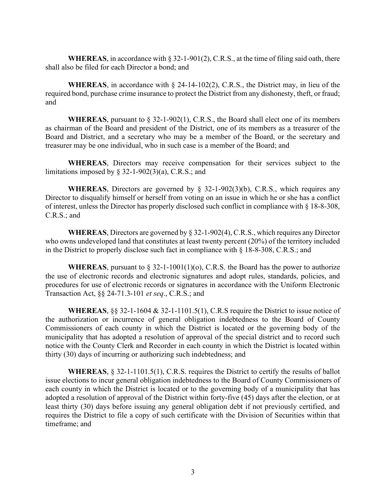WHEREAS, in accordance with § 32-1-901(2), C.R.S., at the time of filing said oath, there shall also be filed for each Director a bond; and

**WHEREAS**, in accordance with  $\S$  24-14-102(2), C.R.S., the District may, in lieu of the required bond, purchase crime insurance to protect the District from any dishonesty, theft, or fraud; and

WHEREAS, pursuant to  $\S 32$ -1-902(1), C.R.S., the Board shall elect one of its members as chairman of the Board and president of the District, one of its members as a treasurer of the Board and District, and a secretary who may be a member of the Board, or the secretary and treasurer may be one individual, who in such case is a member of the Board; and

WHEREAS, Directors may receive compensation for their services subject to the limitations imposed by  $\S$  32-1-902(3)(a), C.R.S.; and

**WHEREAS**, Directors are governed by  $\S$  32-1-902(3)(b), C.R.S., which requires any Director to disqualify himself or herself from voting on an issue in which he or she has a conflict of interest, unless the Director has properly disclosed such conflict in compliance with § 18-8-308, C.R.S.; and

WHEREAS, Directors are governed by § 32-1-902(4), C.R.S., which requires any Director who owns undeveloped land that constitutes at least twenty percent (20%) of the territory included in the District to properly disclose such fact in compliance with § 18-8-308, C.R.S.; and

**WHEREAS**, pursuant to  $\S 32$ -1-1001(1)(o), C.R.S. the Board has the power to authorize the use of electronic records and electronic signatures and adopt rules, standards, policies, and procedures for use of electronic records or signatures in accordance with the Uniform Electronic Transaction Act, §§ 24-71.3-101 et seq., C.R.S.; and

WHEREAS,  $\S$ § 32-1-1604 & 32-1-1101.5(1), C.R.S require the District to issue notice of the authorization or incurrence of general obligation indebtedness to the Board of County Commissioners of each county in which the District is located or the governing body of the municipality that has adopted a resolution of approval of the special district and to record such notice with the County Clerk and Recorder in each county in which the District is located within thirty (30) days of incurring or authorizing such indebtedness; and

WHEREAS, § 32-1-1101.5(1), C.R.S. requires the District to certify the results of ballot issue elections to incur general obligation indebtedness to the Board of County Commissioners of each county in which the District is located or to the governing body of a municipality that has adopted a resolution of approval of the District within forty-five (45) days after the election, or at least thirty (30) days before issuing any general obligation debt if not previously certified, and requires the District to file a copy of such certificate with the Division of Securities within that timeframe; and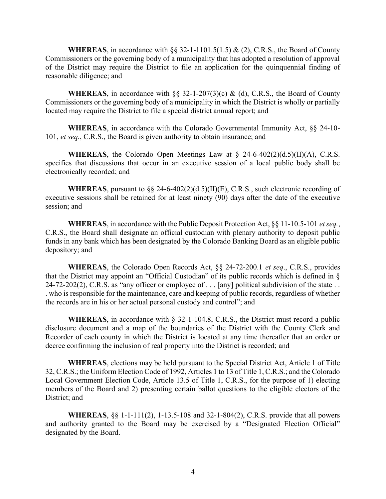**WHEREAS**, in accordance with §§ 32-1-1101.5(1.5) & (2), C.R.S., the Board of County Commissioners or the governing body of a municipality that has adopted a resolution of approval of the District may require the District to file an application for the quinquennial finding of reasonable diligence; and

**WHEREAS**, in accordance with §§ 32-1-207(3)(c) & (d), C.R.S., the Board of County Commissioners or the governing body of a municipality in which the District is wholly or partially located may require the District to file a special district annual report; and

WHEREAS, in accordance with the Colorado Governmental Immunity Act, §§ 24-10- 101, et seq., C.R.S., the Board is given authority to obtain insurance; and

**WHEREAS**, the Colorado Open Meetings Law at  $\S$  24-6-402(2)(d.5)(II)(A), C.R.S. specifies that discussions that occur in an executive session of a local public body shall be electronically recorded; and

WHEREAS, pursuant to §§ 24-6-402(2)(d.5)(II)(E), C.R.S., such electronic recording of executive sessions shall be retained for at least ninety (90) days after the date of the executive session; and

**WHEREAS**, in accordance with the Public Deposit Protection Act,  $\S$ § 11-10.5-101 *et seq.*, C.R.S., the Board shall designate an official custodian with plenary authority to deposit public funds in any bank which has been designated by the Colorado Banking Board as an eligible public depository; and

WHEREAS, the Colorado Open Records Act, §§ 24-72-200.1 et seq., C.R.S., provides that the District may appoint an "Official Custodian" of its public records which is defined in § 24-72-202(2), C.R.S. as "any officer or employee of  $\dots$  [any] political subdivision of the state  $\dots$ . who is responsible for the maintenance, care and keeping of public records, regardless of whether the records are in his or her actual personal custody and control"; and

WHEREAS, in accordance with § 32-1-104.8, C.R.S., the District must record a public disclosure document and a map of the boundaries of the District with the County Clerk and Recorder of each county in which the District is located at any time thereafter that an order or decree confirming the inclusion of real property into the District is recorded; and

WHEREAS, elections may be held pursuant to the Special District Act, Article 1 of Title 32, C.R.S.; the Uniform Election Code of 1992, Articles 1 to 13 of Title 1, C.R.S.; and the Colorado Local Government Election Code, Article 13.5 of Title 1, C.R.S., for the purpose of 1) electing members of the Board and 2) presenting certain ballot questions to the eligible electors of the District; and

WHEREAS, §§ 1-1-111(2), 1-13.5-108 and 32-1-804(2), C.R.S. provide that all powers and authority granted to the Board may be exercised by a "Designated Election Official" designated by the Board.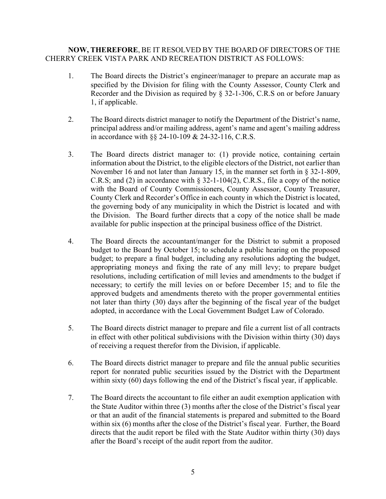## NOW, THEREFORE, BE IT RESOLVED BY THE BOARD OF DIRECTORS OF THE CHERRY CREEK VISTA PARK AND RECREATION DISTRICT AS FOLLOWS:

- 1. The Board directs the District's engineer/manager to prepare an accurate map as specified by the Division for filing with the County Assessor, County Clerk and Recorder and the Division as required by § 32-1-306, C.R.S on or before January 1, if applicable.
- 2. The Board directs district manager to notify the Department of the District's name, principal address and/or mailing address, agent's name and agent's mailing address in accordance with §§ 24-10-109 & 24-32-116, C.R.S.
- 3. The Board directs district manager to: (1) provide notice, containing certain information about the District, to the eligible electors of the District, not earlier than November 16 and not later than January 15, in the manner set forth in § 32-1-809, C.R.S; and (2) in accordance with  $\S$  32-1-104(2), C.R.S., file a copy of the notice with the Board of County Commissioners, County Assessor, County Treasurer, County Clerk and Recorder's Office in each county in which the District is located, the governing body of any municipality in which the District is located and with the Division. The Board further directs that a copy of the notice shall be made available for public inspection at the principal business office of the District.
- 4. The Board directs the accountant/manger for the District to submit a proposed budget to the Board by October 15; to schedule a public hearing on the proposed budget; to prepare a final budget, including any resolutions adopting the budget, appropriating moneys and fixing the rate of any mill levy; to prepare budget resolutions, including certification of mill levies and amendments to the budget if necessary; to certify the mill levies on or before December 15; and to file the approved budgets and amendments thereto with the proper governmental entities not later than thirty (30) days after the beginning of the fiscal year of the budget adopted, in accordance with the Local Government Budget Law of Colorado.
- 5. The Board directs district manager to prepare and file a current list of all contracts in effect with other political subdivisions with the Division within thirty (30) days of receiving a request therefor from the Division, if applicable.
- 6. The Board directs district manager to prepare and file the annual public securities report for nonrated public securities issued by the District with the Department within sixty (60) days following the end of the District's fiscal year, if applicable.
- 7. The Board directs the accountant to file either an audit exemption application with the State Auditor within three (3) months after the close of the District's fiscal year or that an audit of the financial statements is prepared and submitted to the Board within six (6) months after the close of the District's fiscal year. Further, the Board directs that the audit report be filed with the State Auditor within thirty (30) days after the Board's receipt of the audit report from the auditor.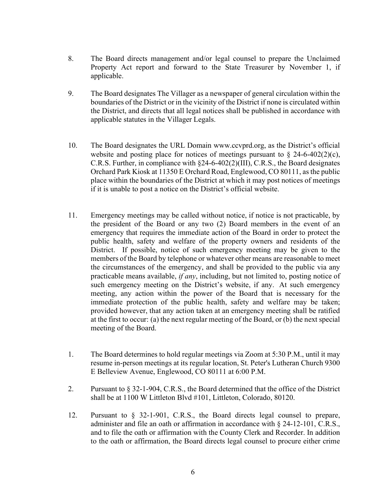- 8. The Board directs management and/or legal counsel to prepare the Unclaimed Property Act report and forward to the State Treasurer by November 1, if applicable.
- 9. The Board designates The Villager as a newspaper of general circulation within the boundaries of the District or in the vicinity of the District if none is circulated within the District, and directs that all legal notices shall be published in accordance with applicable statutes in the Villager Legals.
- 10. The Board designates the URL Domain www.ccvprd.org, as the District's official website and posting place for notices of meetings pursuant to  $\S$  24-6-402(2)(c), C.R.S. Further, in compliance with §24-6-402(2)(III), C.R.S., the Board designates Orchard Park Kiosk at 11350 E Orchard Road, Englewood, CO 80111, as the public place within the boundaries of the District at which it may post notices of meetings if it is unable to post a notice on the District's official website.
- 11. Emergency meetings may be called without notice, if notice is not practicable, by the president of the Board or any two (2) Board members in the event of an emergency that requires the immediate action of the Board in order to protect the public health, safety and welfare of the property owners and residents of the District. If possible, notice of such emergency meeting may be given to the members of the Board by telephone or whatever other means are reasonable to meet the circumstances of the emergency, and shall be provided to the public via any practicable means available, if any, including, but not limited to, posting notice of such emergency meeting on the District's website, if any. At such emergency meeting, any action within the power of the Board that is necessary for the immediate protection of the public health, safety and welfare may be taken; provided however, that any action taken at an emergency meeting shall be ratified at the first to occur: (a) the next regular meeting of the Board, or (b) the next special meeting of the Board.
- 1. The Board determines to hold regular meetings via Zoom at 5:30 P.M., until it may resume in-person meetings at its regular location, St. Peter's Lutheran Church 9300 E Belleview Avenue, Englewood, CO 80111 at 6:00 P.M.
- 2. Pursuant to § 32-1-904, C.R.S., the Board determined that the office of the District shall be at 1100 W Littleton Blvd #101, Littleton, Colorado, 80120.
- 12. Pursuant to § 32-1-901, C.R.S., the Board directs legal counsel to prepare, administer and file an oath or affirmation in accordance with § 24-12-101, C.R.S., and to file the oath or affirmation with the County Clerk and Recorder. In addition to the oath or affirmation, the Board directs legal counsel to procure either crime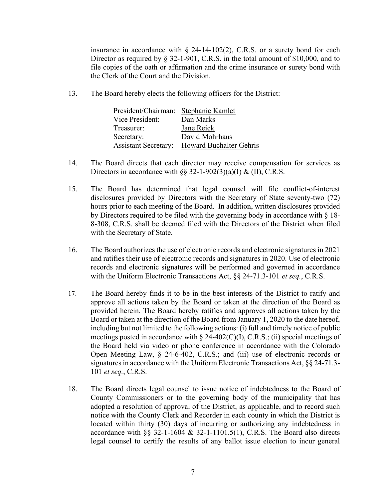insurance in accordance with  $\S$  24-14-102(2), C.R.S. or a surety bond for each Director as required by § 32-1-901, C.R.S. in the total amount of \$10,000, and to file copies of the oath or affirmation and the crime insurance or surety bond with the Clerk of the Court and the Division.

13. The Board hereby elects the following officers for the District:

| President/Chairman:         | Stephanie Kamlet        |
|-----------------------------|-------------------------|
| Vice President:             | Dan Marks               |
| Treasurer:                  | Jane Reick              |
| Secretary:                  | David Mohrhaus          |
| <b>Assistant Secretary:</b> | Howard Buchalter Gehris |

- 14. The Board directs that each director may receive compensation for services as Directors in accordance with  $\S$ § 32-1-902(3)(a)(I) & (II), C.R.S.
- 15. The Board has determined that legal counsel will file conflict-of-interest disclosures provided by Directors with the Secretary of State seventy-two (72) hours prior to each meeting of the Board. In addition, written disclosures provided by Directors required to be filed with the governing body in accordance with § 18- 8-308, C.R.S. shall be deemed filed with the Directors of the District when filed with the Secretary of State.
- 16. The Board authorizes the use of electronic records and electronic signatures in 2021 and ratifies their use of electronic records and signatures in 2020. Use of electronic records and electronic signatures will be performed and governed in accordance with the Uniform Electronic Transactions Act, §§ 24-71.3-101 et seq., C.R.S.
- 17. The Board hereby finds it to be in the best interests of the District to ratify and approve all actions taken by the Board or taken at the direction of the Board as provided herein. The Board hereby ratifies and approves all actions taken by the Board or taken at the direction of the Board from January 1, 2020 to the date hereof, including but not limited to the following actions: (i) full and timely notice of public meetings posted in accordance with  $\S$  24-402(C)(I), C.R.S.; (ii) special meetings of the Board held via video or phone conference in accordance with the Colorado Open Meeting Law, § 24-6-402, C.R.S.; and (iii) use of electronic records or signatures in accordance with the Uniform Electronic Transactions Act, §§ 24-71.3- 101 et seq., C.R.S.
- 18. The Board directs legal counsel to issue notice of indebtedness to the Board of County Commissioners or to the governing body of the municipality that has adopted a resolution of approval of the District, as applicable, and to record such notice with the County Clerk and Recorder in each county in which the District is located within thirty (30) days of incurring or authorizing any indebtedness in accordance with §§ 32-1-1604 & 32-1-1101.5(1), C.R.S. The Board also directs legal counsel to certify the results of any ballot issue election to incur general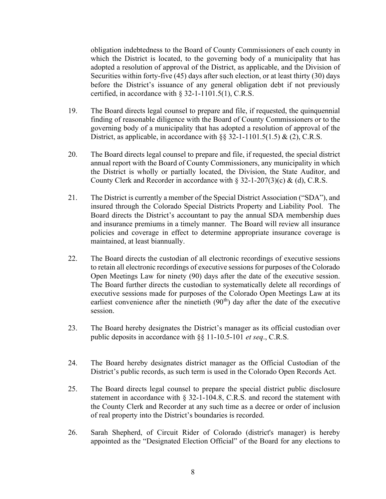obligation indebtedness to the Board of County Commissioners of each county in which the District is located, to the governing body of a municipality that has adopted a resolution of approval of the District, as applicable, and the Division of Securities within forty-five (45) days after such election, or at least thirty (30) days before the District's issuance of any general obligation debt if not previously certified, in accordance with § 32-1-1101.5(1), C.R.S.

- 19. The Board directs legal counsel to prepare and file, if requested, the quinquennial finding of reasonable diligence with the Board of County Commissioners or to the governing body of a municipality that has adopted a resolution of approval of the District, as applicable, in accordance with  $\S$  32-1-1101.5(1.5) & (2), C.R.S.
- 20. The Board directs legal counsel to prepare and file, if requested, the special district annual report with the Board of County Commissioners, any municipality in which the District is wholly or partially located, the Division, the State Auditor, and County Clerk and Recorder in accordance with  $\S 32$ -1-207(3)(c) & (d), C.R.S.
- 21. The District is currently a member of the Special District Association ("SDA"), and insured through the Colorado Special Districts Property and Liability Pool. The Board directs the District's accountant to pay the annual SDA membership dues and insurance premiums in a timely manner. The Board will review all insurance policies and coverage in effect to determine appropriate insurance coverage is maintained, at least biannually.
- 22. The Board directs the custodian of all electronic recordings of executive sessions to retain all electronic recordings of executive sessions for purposes of the Colorado Open Meetings Law for ninety (90) days after the date of the executive session. The Board further directs the custodian to systematically delete all recordings of executive sessions made for purposes of the Colorado Open Meetings Law at its earliest convenience after the ninetieth  $(90<sup>th</sup>)$  day after the date of the executive session.
- 23. The Board hereby designates the District's manager as its official custodian over public deposits in accordance with §§ 11-10.5-101 et seq., C.R.S.
- 24. The Board hereby designates district manager as the Official Custodian of the District's public records, as such term is used in the Colorado Open Records Act.
- 25. The Board directs legal counsel to prepare the special district public disclosure statement in accordance with § 32-1-104.8, C.R.S. and record the statement with the County Clerk and Recorder at any such time as a decree or order of inclusion of real property into the District's boundaries is recorded.
- 26. Sarah Shepherd, of Circuit Rider of Colorado (district's manager) is hereby appointed as the "Designated Election Official" of the Board for any elections to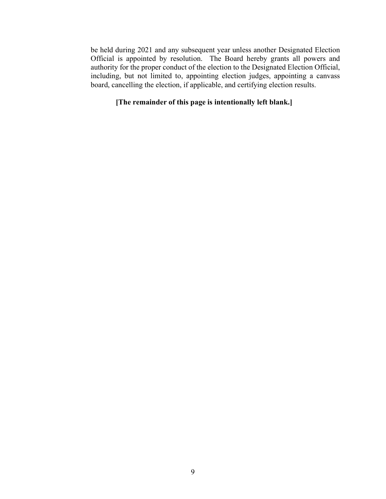be held during 2021 and any subsequent year unless another Designated Election Official is appointed by resolution. The Board hereby grants all powers and authority for the proper conduct of the election to the Designated Election Official, including, but not limited to, appointing election judges, appointing a canvass board, cancelling the election, if applicable, and certifying election results.

## [The remainder of this page is intentionally left blank.]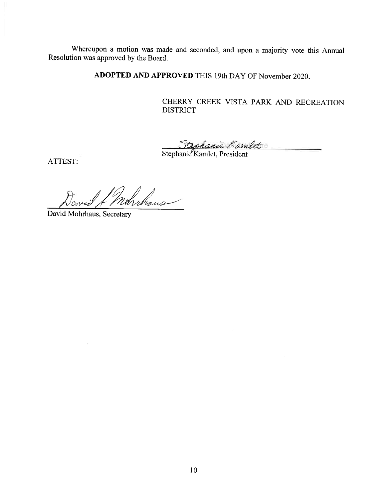Whereupon a motion was made and seconded, and upon a majority vote this Annual Resolution was approved by the Board.

ADOPTED AND APPROVED THIS 19th DAY OF November 2020.

CHERRY CREEK VISTA PARK AND RECREATION **DISTRICT** 

Stephanie Kambet

ATTEST:

rahuhans

David Mohrhaus, Secretary